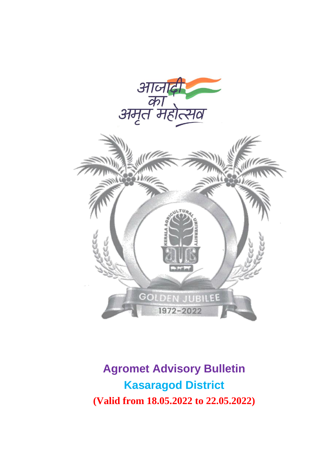



**Agromet Advisory Bulletin Kasaragod District (Valid from 18.05.2022 to 22.05.2022)**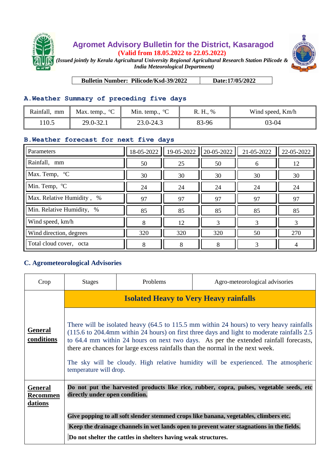

## **Agromet Advisory Bulletin for the District, Kasaragod (Valid from 18.05.2022 to 22.05.2022)**



*(Issued jointly by Kerala Agricultural University Regional Agricultural Research Station Pilicode & India Meteorological Department)*

**Bulletin Number: Pilicode/Ksd-39/2022 Date:17/05/2022**

## **A.Weather Summary of preceding five days**

| Rainfall, mm | Max. temp., $\mathrm{C}$ | Min. temp., $^{\circ}C$ | R. H., % | Wind speed, Km/h |
|--------------|--------------------------|-------------------------|----------|------------------|
| 10.5         | 29.0-32.1                | 23.0-24.3               | 83-96    | 03-04            |

## **B.Weather forecast for next five days**

| Parameters                | 18-05-2022 | 19-05-2022 | 20-05-2022 | 21-05-2022 | 22-05-2022 |
|---------------------------|------------|------------|------------|------------|------------|
| Rainfall, mm              | 50         | 25         | 50         | 6          | 12         |
| Max. Temp, °C             | 30         | 30         | 30         | 30         | 30         |
| Min. Temp, <sup>o</sup> C | 24         | 24         | 24         | 24         | 24         |
| Max. Relative Humidity, % | 97         | 97         | 97         | 97         | 97         |
| Min. Relative Humidity, % | 85         | 85         | 85         | 85         | 85         |
| Wind speed, km/h          | 8          | 12         | 3          | 3          | 3          |
| Wind direction, degrees   | 320        | 320        | 320        | 50         | 270        |
| Total cloud cover, octa   | 8          | 8          | 8          | 3          |            |

## **C. Agrometeorological Advisories**

| Crop                                         | <b>Stages</b>                                                                                                                                                                                                                                                                                                                                                                                                                                                                    | Problems | Agro-meteorological advisories |  |  |
|----------------------------------------------|----------------------------------------------------------------------------------------------------------------------------------------------------------------------------------------------------------------------------------------------------------------------------------------------------------------------------------------------------------------------------------------------------------------------------------------------------------------------------------|----------|--------------------------------|--|--|
|                                              | <b>Isolated Heavy to Very Heavy rainfalls</b>                                                                                                                                                                                                                                                                                                                                                                                                                                    |          |                                |  |  |
| <b>General</b><br>conditions                 | There will be isolated heavy (64.5 to 115.5 mm within 24 hours) to very heavy rainfalls<br>(115.6 to 204.4mm within 24 hours) on first three days and light to moderate rainfalls 2.5<br>to 64.4 mm within 24 hours on next two days. As per the extended rainfall forecasts,<br>there are chances for large excess rainfalls than the normal in the next week.<br>The sky will be cloudy. High relative humidity will be experienced. The atmospheric<br>temperature will drop. |          |                                |  |  |
| <b>General</b><br><b>Recommen</b><br>dations | Do not put the harvested products like rice, rubber, copra, pulses, vegetable seeds, etc<br>directly under open condition.                                                                                                                                                                                                                                                                                                                                                       |          |                                |  |  |
|                                              | Give popping to all soft slender stemmed crops like banana, vegetables, climbers etc.                                                                                                                                                                                                                                                                                                                                                                                            |          |                                |  |  |
|                                              | Keep the drainage channels in wet lands open to prevent water stagnations in the fields.                                                                                                                                                                                                                                                                                                                                                                                         |          |                                |  |  |
|                                              | Do not shelter the cattles in shelters having weak structures.                                                                                                                                                                                                                                                                                                                                                                                                                   |          |                                |  |  |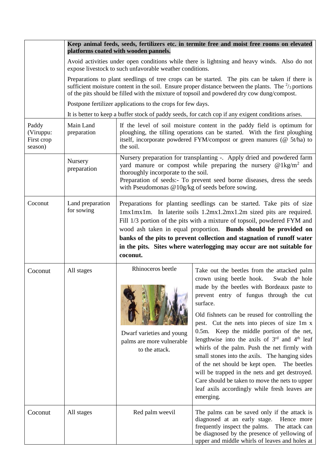|                                             | Keep animal feeds, seeds, fertilizers etc. in termite free and moist free rooms on elevated<br>platforms coated with wooden pannels. |                                                                                                                                                                                                                                                                                                                                                                                                                                                           |                                                                                                                                                                                                                                                                                                                                                                                                                                                                                                                                                                                                                                                                                                                                            |  |  |
|---------------------------------------------|--------------------------------------------------------------------------------------------------------------------------------------|-----------------------------------------------------------------------------------------------------------------------------------------------------------------------------------------------------------------------------------------------------------------------------------------------------------------------------------------------------------------------------------------------------------------------------------------------------------|--------------------------------------------------------------------------------------------------------------------------------------------------------------------------------------------------------------------------------------------------------------------------------------------------------------------------------------------------------------------------------------------------------------------------------------------------------------------------------------------------------------------------------------------------------------------------------------------------------------------------------------------------------------------------------------------------------------------------------------------|--|--|
|                                             |                                                                                                                                      | Avoid activities under open conditions while there is lightning and heavy winds. Also do not<br>expose livestock to such unfavorable weather conditions.                                                                                                                                                                                                                                                                                                  |                                                                                                                                                                                                                                                                                                                                                                                                                                                                                                                                                                                                                                                                                                                                            |  |  |
|                                             |                                                                                                                                      | Preparations to plant seedlings of tree crops can be started. The pits can be taken if there is<br>sufficient moisture content in the soil. Ensure proper distance between the plants. The $\frac{2}{3}$ portions<br>of the pits should be filled with the mixture of topsoil and powdered dry cow dung/compost.                                                                                                                                          |                                                                                                                                                                                                                                                                                                                                                                                                                                                                                                                                                                                                                                                                                                                                            |  |  |
|                                             |                                                                                                                                      | Postpone fertilizer applications to the crops for few days.                                                                                                                                                                                                                                                                                                                                                                                               |                                                                                                                                                                                                                                                                                                                                                                                                                                                                                                                                                                                                                                                                                                                                            |  |  |
|                                             |                                                                                                                                      | It is better to keep a buffer stock of paddy seeds, for catch cop if any exigent conditions arises.                                                                                                                                                                                                                                                                                                                                                       |                                                                                                                                                                                                                                                                                                                                                                                                                                                                                                                                                                                                                                                                                                                                            |  |  |
| Paddy<br>(Viruppu:<br>First crop<br>season) | Main Land<br>preparation                                                                                                             | If the level of soil moisture content in the paddy field is optimum for<br>ploughing, the tilling operations can be started. With the first ploughing<br>itself, incorporate powdered FYM/compost or green manures (@ 5t/ha) to<br>the soil.                                                                                                                                                                                                              |                                                                                                                                                                                                                                                                                                                                                                                                                                                                                                                                                                                                                                                                                                                                            |  |  |
|                                             | Nursery<br>preparation                                                                                                               | Nursery preparation for transplanting -. Apply dried and powdered farm<br>yard manure or compost while preparing the nursery $@1kg/m^2$ and<br>thoroughly incorporate to the soil.<br>Preparation of seeds:- To prevent seed borne diseases, dress the seeds<br>with Pseudomonas $@10g/kg$ of seeds before sowing.                                                                                                                                        |                                                                                                                                                                                                                                                                                                                                                                                                                                                                                                                                                                                                                                                                                                                                            |  |  |
| Coconut                                     | Land preparation<br>for sowing                                                                                                       | Preparations for planting seedlings can be started. Take pits of size<br>1mx1mx1m. In laterite soils 1.2mx1.2mx1.2m sized pits are required.<br>Fill 1/3 portion of the pits with a mixture of topsoil, powdered FYM and<br>wood ash taken in equal proportion. Bunds should be provided on<br>banks of the pits to prevent collection and stagnation of runoff water<br>in the pits. Sites where waterlogging may occur are not suitable for<br>coconut. |                                                                                                                                                                                                                                                                                                                                                                                                                                                                                                                                                                                                                                                                                                                                            |  |  |
| Coconut                                     | All stages                                                                                                                           | Rhinoceros beetle<br>Dwarf varieties and young<br>palms are more vulnerable<br>to the attack.                                                                                                                                                                                                                                                                                                                                                             | Take out the beetles from the attacked palm<br>crown using beetle hook.<br>Swab the hole<br>made by the beetles with Bordeaux paste to<br>prevent entry of fungus through the cut<br>surface.<br>Old fishnets can be reused for controlling the<br>pest. Cut the nets into pieces of size 1m x<br>0.5m. Keep the middle portion of the net,<br>lengthwise into the axils of 3 <sup>rd</sup> and 4 <sup>th</sup> leaf<br>whirls of the palm. Push the net firmly with<br>small stones into the axils. The hanging sides<br>of the net should be kept open.<br>The beetles<br>will be trapped in the nets and get destroyed.<br>Care should be taken to move the nets to upper<br>leaf axils accordingly while fresh leaves are<br>emerging. |  |  |
| Coconut                                     | All stages                                                                                                                           | Red palm weevil                                                                                                                                                                                                                                                                                                                                                                                                                                           | The palms can be saved only if the attack is<br>diagnosed at an early stage. Hence more<br>frequently inspect the palms. The attack can<br>be diagnosed by the presence of yellowing of<br>upper and middle whirls of leaves and holes at                                                                                                                                                                                                                                                                                                                                                                                                                                                                                                  |  |  |